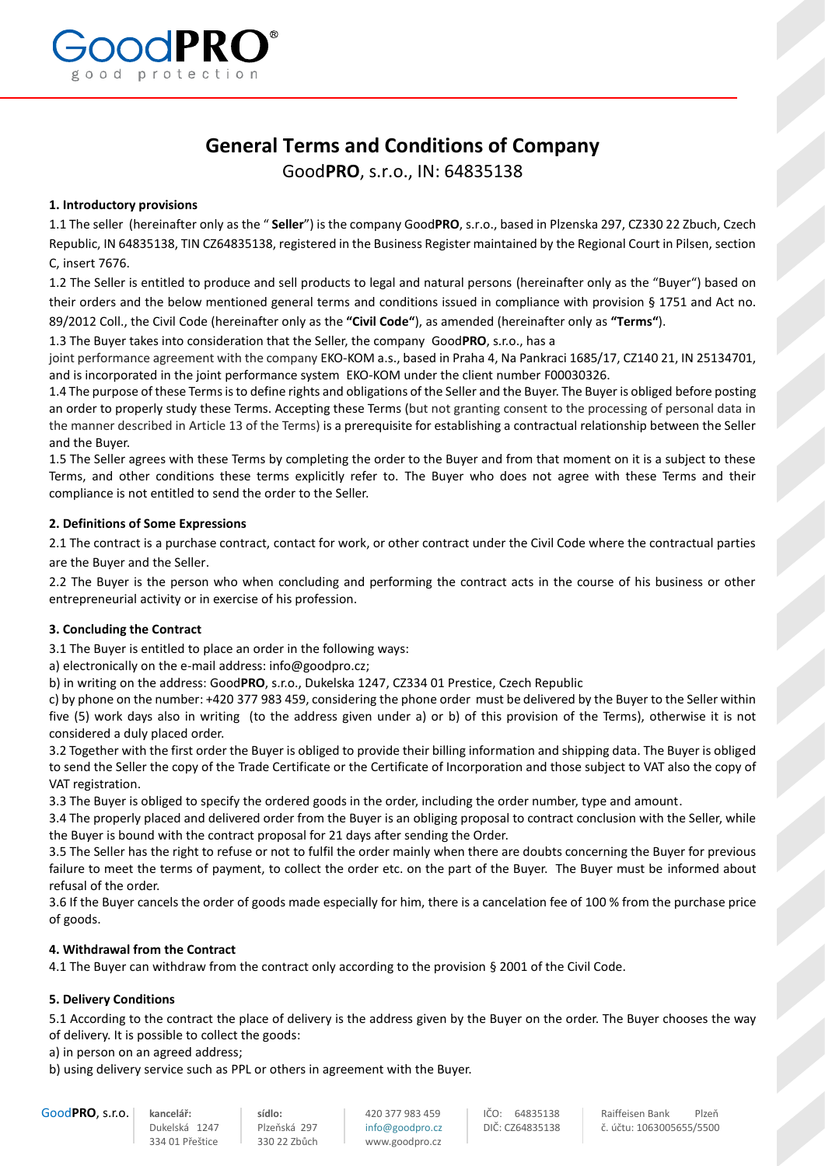

# **General Terms and Conditions of Company**

Good**PRO**, s.r.o., IN: 64835138

# **1. Introductory provisions**

1.1 The seller (hereinafter only as the " **Seller**") is the company Good**PRO**, s.r.o., based in Plzenska 297, CZ330 22 Zbuch, Czech Republic, IN 64835138, TIN CZ64835138, registered in the Business Register maintained by the Regional Court in Pilsen, section C, insert 7676.

1.2 The Seller is entitled to produce and sell products to legal and natural persons (hereinafter only as the "Buyer") based on their orders and the below mentioned general terms and conditions issued in compliance with provision § 1751 and Act no. 89/2012 Coll., the Civil Code (hereinafter only as the **"Civil Code"**), as amended (hereinafter only as **"Terms"**).

1.3 The Buyer takes into consideration that the Seller, the company Good**PRO**, s.r.o., has a

joint performance agreement with the company EKO-KOM a.s., based in Praha 4, Na Pankraci 1685/17, CZ140 21, IN 25134701, and is incorporated in the joint performance system EKO-KOM under the client number F00030326.

1.4 The purpose of these Terms is to define rights and obligations of the Seller and the Buyer. The Buyer is obliged before posting an order to properly study these Terms. Accepting these Terms (but not granting consent to the processing of personal data in the manner described in Article 13 of the Terms) is a prerequisite for establishing a contractual relationship between the Seller and the Buyer.

1.5 The Seller agrees with these Terms by completing the order to the Buyer and from that moment on it is a subject to these Terms, and other conditions these terms explicitly refer to. The Buyer who does not agree with these Terms and their compliance is not entitled to send the order to the Seller.

# **2. Definitions of Some Expressions**

2.1 The contract is a purchase contract, contact for work, or other contract under the Civil Code where the contractual parties are the Buyer and the Seller.

2.2 The Buyer is the person who when concluding and performing the contract acts in the course of his business or other entrepreneurial activity or in exercise of his profession.

#### **3. Concluding the Contract**

3.1 The Buyer is entitled to place an order in the following ways:

a) electronically on the e-mail address[: info@goodpro.cz;](mailto:info@goodpro.cz)

b) in writing on the address: Good**PRO**, s.r.o., Dukelska 1247, CZ334 01 Prestice, Czech Republic

c) by phone on the number: +420 377 983 459, considering the phone order must be delivered by the Buyer to the Seller within five (5) work days also in writing (to the address given under a) or b) of this provision of the Terms), otherwise it is not considered a duly placed order.

3.2 Together with the first order the Buyer is obliged to provide their billing information and shipping data. The Buyer is obliged to send the Seller the copy of the Trade Certificate or the Certificate of Incorporation and those subject to VAT also the copy of VAT registration.

3.3 The Buyer is obliged to specify the ordered goods in the order, including the order number, type and amount.

3.4 The properly placed and delivered order from the Buyer is an obliging proposal to contract conclusion with the Seller, while the Buyer is bound with the contract proposal for 21 days after sending the Order.

3.5 The Seller has the right to refuse or not to fulfil the order mainly when there are doubts concerning the Buyer for previous failure to meet the terms of payment, to collect the order etc. on the part of the Buyer. The Buyer must be informed about refusal of the order.

3.6 If the Buyer cancels the order of goods made especially for him, there is a cancelation fee of 100 % from the purchase price of goods.

# **4. Withdrawal from the Contract**

4.1 The Buyer can withdraw from the contract only according to the provision § 2001 of the Civil Code.

# **5. Delivery Conditions**

5.1 According to the contract the place of delivery is the address given by the Buyer on the order. The Buyer chooses the way of delivery. It is possible to collect the goods:

a) in person on an agreed address;

b) using delivery service such as PPL or others in agreement with the Buyer.

334 01 Přeštice 330 22 Zbůch www.goodpro.cz

Good**PRO, s.r.o.** kancelář: **isídlo:** sídlo: 420 377 983 459 ličO: 64835138 Raiffeisen Bank Plzeň bukelská 1247 lisérská 297 lifo@goodpro.cz DIČ: CZ64835138 č. účtu: 1063005655/5500 [info@goodpro.cz](mailto:info@goodpro.cz) | DIČ: CZ64835138 c. účtu: 1063005655/5500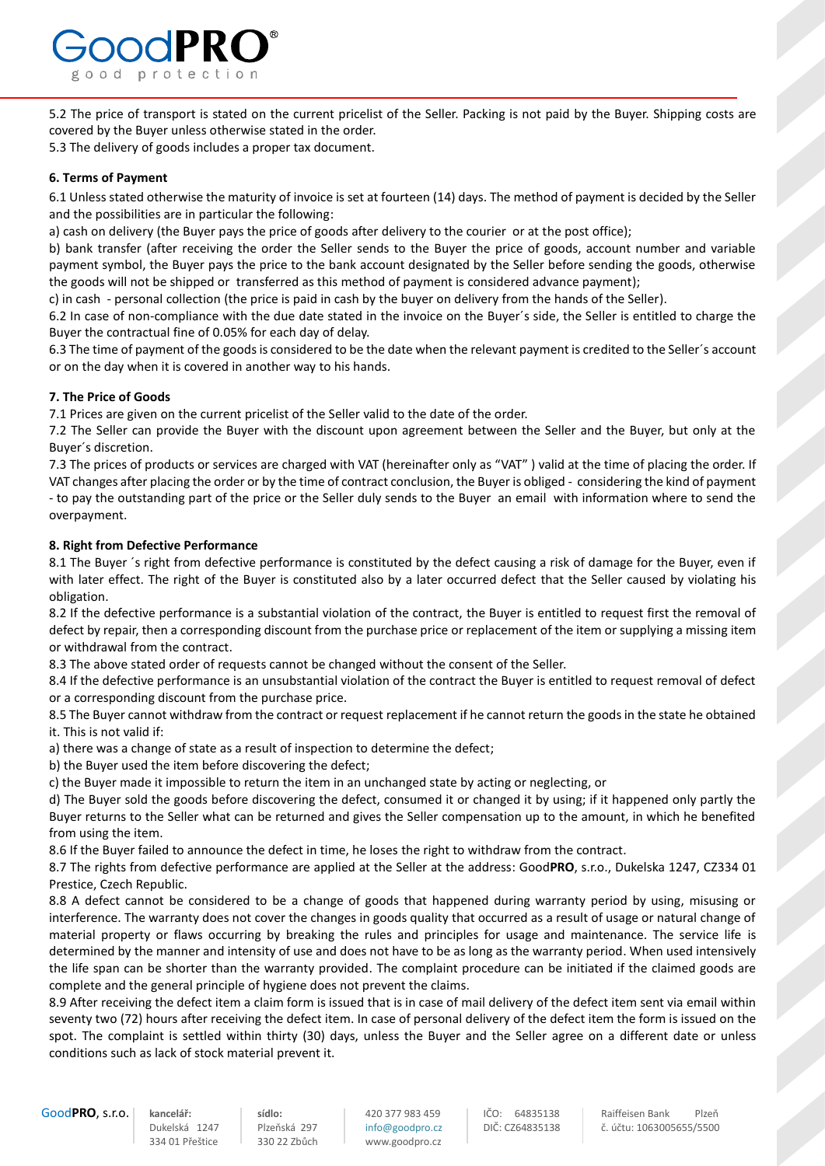

5.2 The price of transport is stated on the current pricelist of the Seller. Packing is not paid by the Buyer. Shipping costs are covered by the Buyer unless otherwise stated in the order.

5.3 The delivery of goods includes a proper tax document.

# **6. Terms of Payment**

6.1 Unless stated otherwise the maturity of invoice is set at fourteen (14) days. The method of payment is decided by the Seller and the possibilities are in particular the following:

a) cash on delivery (the Buyer pays the price of goods after delivery to the courier or at the post office);

b) bank transfer (after receiving the order the Seller sends to the Buyer the price of goods, account number and variable payment symbol, the Buyer pays the price to the bank account designated by the Seller before sending the goods, otherwise the goods will not be shipped or transferred as this method of payment is considered advance payment);

c) in cash - personal collection (the price is paid in cash by the buyer on delivery from the hands of the Seller).

6.2 In case of non-compliance with the due date stated in the invoice on the Buyer´s side, the Seller is entitled to charge the Buyer the contractual fine of 0.05% for each day of delay.

6.3 The time of payment of the goods is considered to be the date when the relevant payment is credited to the Seller´s account or on the day when it is covered in another way to his hands.

# **7. The Price of Goods**

7.1 Prices are given on the current pricelist of the Seller valid to the date of the order.

7.2 The Seller can provide the Buyer with the discount upon agreement between the Seller and the Buyer, but only at the Buyer´s discretion.

7.3 The prices of products or services are charged with VAT (hereinafter only as "VAT" ) valid at the time of placing the order. If VAT changes after placing the order or by the time of contract conclusion, the Buyer is obliged - considering the kind of payment - to pay the outstanding part of the price or the Seller duly sends to the Buyer an email with information where to send the overpayment.

# **8. Right from Defective Performance**

8.1 The Buyer ´s right from defective performance is constituted by the defect causing a risk of damage for the Buyer, even if with later effect. The right of the Buyer is constituted also by a later occurred defect that the Seller caused by violating his obligation.

8.2 If the defective performance is a substantial violation of the contract, the Buyer is entitled to request first the removal of defect by repair, then a corresponding discount from the purchase price or replacement of the item or supplying a missing item or withdrawal from the contract.

8.3 The above stated order of requests cannot be changed without the consent of the Seller.

8.4 If the defective performance is an unsubstantial violation of the contract the Buyer is entitled to request removal of defect or a corresponding discount from the purchase price.

8.5 The Buyer cannot withdraw from the contract or request replacement if he cannot return the goods in the state he obtained it. This is not valid if:

a) there was a change of state as a result of inspection to determine the defect;

b) the Buyer used the item before discovering the defect;

c) the Buyer made it impossible to return the item in an unchanged state by acting or neglecting, or

d) The Buyer sold the goods before discovering the defect, consumed it or changed it by using; if it happened only partly the Buyer returns to the Seller what can be returned and gives the Seller compensation up to the amount, in which he benefited from using the item.

8.6 If the Buyer failed to announce the defect in time, he loses the right to withdraw from the contract.

8.7 The rights from defective performance are applied at the Seller at the address: Good**PRO**, s.r.o., Dukelska 1247, CZ334 01 Prestice, Czech Republic.

8.8 A defect cannot be considered to be a change of goods that happened during warranty period by using, misusing or interference. The warranty does not cover the changes in goods quality that occurred as a result of usage or natural change of material property or flaws occurring by breaking the rules and principles for usage and maintenance. The service life is determined by the manner and intensity of use and does not have to be as long as the warranty period. When used intensively the life span can be shorter than the warranty provided. The complaint procedure can be initiated if the claimed goods are complete and the general principle of hygiene does not prevent the claims.

8.9 After receiving the defect item a claim form is issued that is in case of mail delivery of the defect item sent via email within seventy two (72) hours after receiving the defect item. In case of personal delivery of the defect item the form is issued on the spot. The complaint is settled within thirty (30) days, unless the Buyer and the Seller agree on a different date or unless conditions such as lack of stock material prevent it.

334 01 Přeštice 330 22 Zbůch www.goodpro.cz

Good**PRO**, s.r.o. **kancelář: sídlo:** 420 377 983 459 IČO: 64835138 Raiffeisen Bank Plzeň [info@goodpro.cz](mailto:info@goodpro.cz) | DIČ: CZ64835138 c. účtu: 1063005655/5500